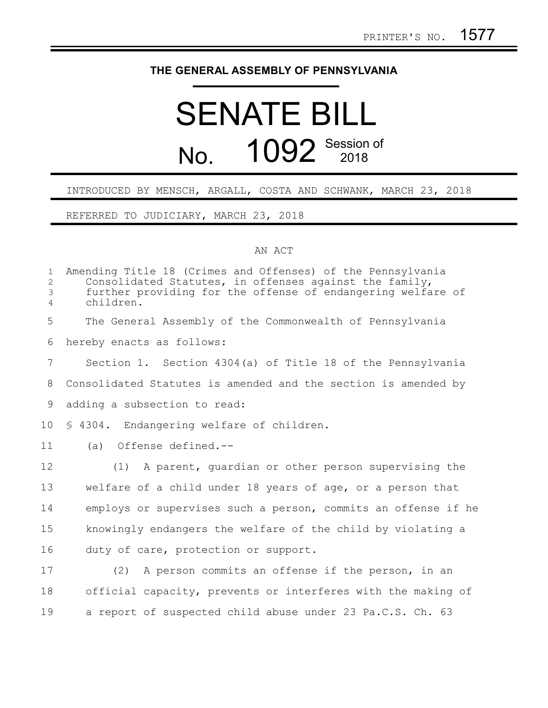## **THE GENERAL ASSEMBLY OF PENNSYLVANIA**

## SENATE BILL No. 1092 Session of

## INTRODUCED BY MENSCH, ARGALL, COSTA AND SCHWANK, MARCH 23, 2018

REFERRED TO JUDICIARY, MARCH 23, 2018

## AN ACT

| $\mathbf{1}$<br>$\overline{2}$<br>3<br>$\overline{4}$ | Amending Title 18 (Crimes and Offenses) of the Pennsylvania<br>Consolidated Statutes, in offenses against the family,<br>further providing for the offense of endangering welfare of<br>children. |
|-------------------------------------------------------|---------------------------------------------------------------------------------------------------------------------------------------------------------------------------------------------------|
| 5                                                     | The General Assembly of the Commonwealth of Pennsylvania                                                                                                                                          |
| 6                                                     | hereby enacts as follows:                                                                                                                                                                         |
| $\overline{7}$                                        | Section 1. Section 4304(a) of Title 18 of the Pennsylvania                                                                                                                                        |
| 8                                                     | Consolidated Statutes is amended and the section is amended by                                                                                                                                    |
| 9                                                     | adding a subsection to read:                                                                                                                                                                      |
| 10 <sup>°</sup>                                       | § 4304. Endangering welfare of children.                                                                                                                                                          |
| 11                                                    | (a) Offense defined.--                                                                                                                                                                            |
| 12                                                    | A parent, quardian or other person supervising the<br>(1)                                                                                                                                         |
| 13                                                    | welfare of a child under 18 years of age, or a person that                                                                                                                                        |
| 14                                                    | employs or supervises such a person, commits an offense if he                                                                                                                                     |
| 15                                                    | knowingly endangers the welfare of the child by violating a                                                                                                                                       |
| 16                                                    | duty of care, protection or support.                                                                                                                                                              |
| 17                                                    | (2) A person commits an offense if the person, in an                                                                                                                                              |
| 18                                                    | official capacity, prevents or interferes with the making of                                                                                                                                      |
| 19                                                    | a report of suspected child abuse under 23 Pa.C.S. Ch. 63                                                                                                                                         |
|                                                       |                                                                                                                                                                                                   |